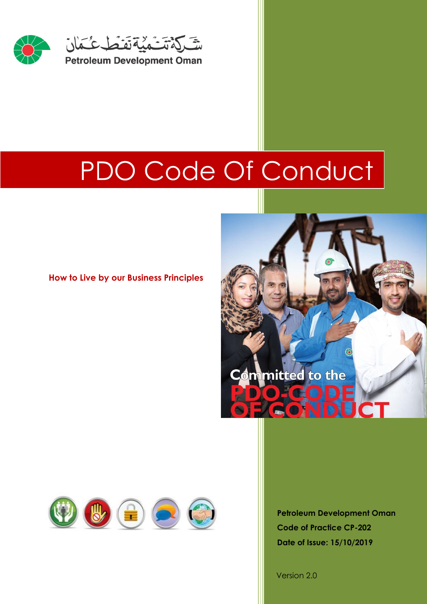

# PDO Code Of Conduct

# **How to Live by our Business Principles**





**Petroleum Development Oman Code of Practice CP-202 Date of Issue: 15/10/2019**

Version 2.0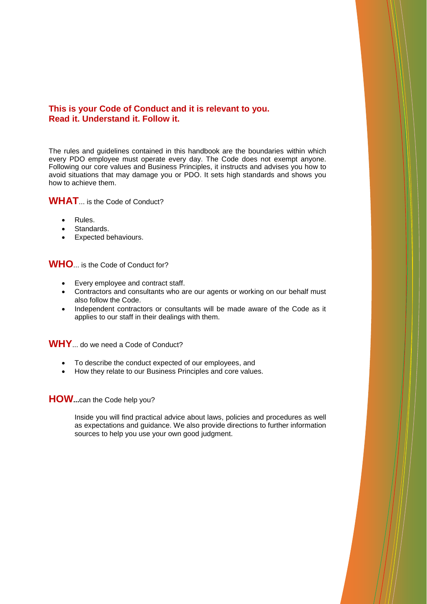### **This is your Code of Conduct and it is relevant to you. Read it. Understand it. Follow it.**

The rules and guidelines contained in this handbook are the boundaries within which every PDO employee must operate every day. The Code does not exempt anyone. Following our core values and Business Principles, it instructs and advises you how to avoid situations that may damage you or PDO. It sets high standards and shows you how to achieve them.

# **WHAT**... is the Code of Conduct?

- Rules.
- Standards.
- Expected behaviours.

**WHO**... is the Code of Conduct for?

- Every employee and contract staff.
- Contractors and consultants who are our agents or working on our behalf must also follow the Code.
- Independent contractors or consultants will be made aware of the Code as it applies to our staff in their dealings with them.

**WHY**... do we need a Code of Conduct?

- To describe the conduct expected of our employees, and
- How they relate to our Business Principles and core values.

### **HOW...**can the Code help you?

Inside you will find practical advice about laws, policies and procedures as well as expectations and guidance. We also provide directions to further information sources to help you use your own good judgment.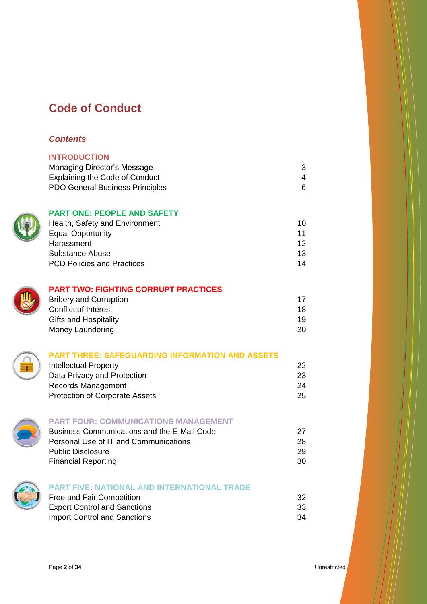# **Code of Conduct**

# *Contents*

| <b>INTRODUCTION</b>                    |   |
|----------------------------------------|---|
| Managing Director's Message            | 3 |
| Explaining the Code of Conduct         |   |
| <b>PDO General Business Principles</b> | 6 |
|                                        |   |

# **PART ONE: PEOPLE AND SAFETY**

| Health, Safety and Environment    | 10 |
|-----------------------------------|----|
| <b>Equal Opportunity</b>          | 11 |
| Harassment                        | 12 |
| Substance Abuse                   | 13 |
| <b>PCD Policies and Practices</b> | 14 |



# **PART TWO: FIGHTING CORRUPT PRACTICES**

| <b>Bribery and Corruption</b> | 17 |
|-------------------------------|----|
| Conflict of Interest          | 18 |
| <b>Gifts and Hospitality</b>  | 19 |
| Money Laundering              | 20 |

### **PART THREE: SAFEGUARDING INFORMATION AND ASSETS** Intellectual Property 22

| m                                     | __ |
|---------------------------------------|----|
| Data Privacy and Protection           | 23 |
| Records Management                    | 24 |
| <b>Protection of Corporate Assets</b> | 25 |
|                                       |    |



# **PART FOUR: COMMUNICATIONS MANAGEMENT**

Business Communications and the E-Mail Code 27 Personal Use of IT and Communications 28 Public Disclosure 29 Financial Reporting 30



| Free and Fair Competition           | 32 |
|-------------------------------------|----|
| <b>Export Control and Sanctions</b> | 33 |
| <b>Import Control and Sanctions</b> | 34 |

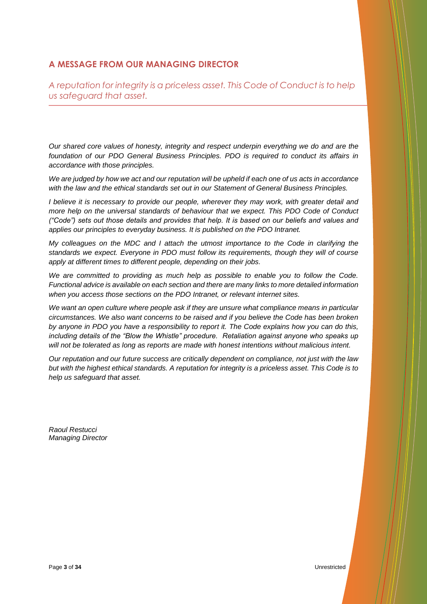# **A MESSAGE FROM OUR MANAGING DIRECTOR**

*A reputation for integrity is a priceless asset. This Code of Conduct is to help us safeguard that asset.*

*Our shared core values of honesty, integrity and respect underpin everything we do and are the foundation of our PDO General Business Principles. PDO is required to conduct its affairs in accordance with those principles.* 

*We are judged by how we act and our reputation will be upheld if each one of us acts in accordance with the law and the ethical standards set out in our Statement of General Business Principles.* 

*I believe it is necessary to provide our people, wherever they may work, with greater detail and more help on the universal standards of behaviour that we expect. This PDO Code of Conduct ("Code") sets out those details and provides that help. It is based on our beliefs and values and applies our principles to everyday business. It is published on the PDO Intranet.*

*My colleagues on the MDC and I attach the utmost importance to the Code in clarifying the standards we expect. Everyone in PDO must follow its requirements, though they will of course apply at different times to different people, depending on their jobs.* 

*We are committed to providing as much help as possible to enable you to follow the Code. Functional advice is available on each section and there are many links to more detailed information when you access those sections on the PDO Intranet, or relevant internet sites.* 

*We want an open culture where people ask if they are unsure what compliance means in particular circumstances. We also want concerns to be raised and if you believe the Code has been broken by anyone in PDO you have a responsibility to report it. The Code explains how you can do this, including details of the "Blow the Whistle" procedure. Retaliation against anyone who speaks up will not be tolerated as long as reports are made with honest intentions without malicious intent.*

*Our reputation and our future success are critically dependent on compliance, not just with the law but with the highest ethical standards. A reputation for integrity is a priceless asset. This Code is to help us safeguard that asset.*

*Raoul Restucci Managing Director*

Page **<sup>3</sup>** of **<sup>34</sup>** Unrestricted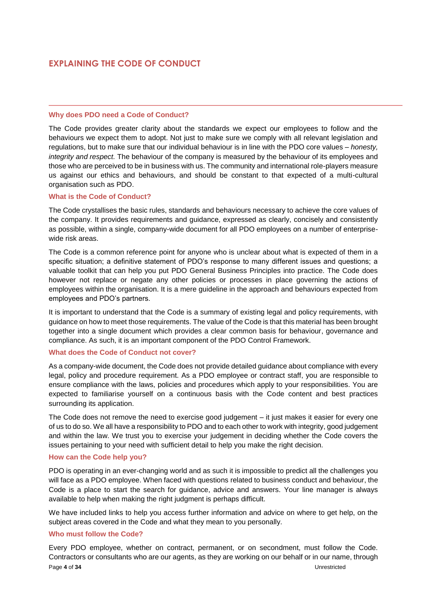# **EXPLAINING THE CODE OF CONDUCT**

#### **Why does PDO need a Code of Conduct?**

The Code provides greater clarity about the standards we expect our employees to follow and the behaviours we expect them to adopt. Not just to make sure we comply with all relevant legislation and regulations, but to make sure that our individual behaviour is in line with the PDO core values – *honesty, integrity and respect.* The behaviour of the company is measured by the behaviour of its employees and those who are perceived to be in business with us. The community and international role-players measure us against our ethics and behaviours, and should be constant to that expected of a multi-cultural organisation such as PDO.

#### **What is the Code of Conduct?**

The Code crystallises the basic rules, standards and behaviours necessary to achieve the core values of the company. It provides requirements and guidance, expressed as clearly, concisely and consistently as possible, within a single, company-wide document for all PDO employees on a number of enterprisewide risk areas.

The Code is a common reference point for anyone who is unclear about what is expected of them in a specific situation; a definitive statement of PDO's response to many different issues and questions; a valuable toolkit that can help you put PDO General Business Principles into practice. The Code does however not replace or negate any other policies or processes in place governing the actions of employees within the organisation. It is a mere guideline in the approach and behaviours expected from employees and PDO's partners.

It is important to understand that the Code is a summary of existing legal and policy requirements, with guidance on how to meet those requirements. The value of the Code is that this material has been brought together into a single document which provides a clear common basis for behaviour, governance and compliance. As such, it is an important component of the PDO Control Framework.

#### **What does the Code of Conduct not cover?**

As a company-wide document, the Code does not provide detailed guidance about compliance with every legal, policy and procedure requirement. As a PDO employee or contract staff, you are responsible to ensure compliance with the laws, policies and procedures which apply to your responsibilities. You are expected to familiarise yourself on a continuous basis with the Code content and best practices surrounding its application.

The Code does not remove the need to exercise good judgement – it just makes it easier for every one of us to do so. We all have a responsibility to PDO and to each other to work with integrity, good judgement and within the law. We trust you to exercise your judgement in deciding whether the Code covers the issues pertaining to your need with sufficient detail to help you make the right decision.

#### **How can the Code help you?**

PDO is operating in an ever-changing world and as such it is impossible to predict all the challenges you will face as a PDO employee. When faced with questions related to business conduct and behaviour, the Code is a place to start the search for guidance, advice and answers. Your line manager is always available to help when making the right judgment is perhaps difficult.

We have included links to help you access further information and advice on where to get help, on the subject areas covered in the Code and what they mean to you personally.

#### **Who must follow the Code?**

Page **<sup>4</sup>** of **<sup>34</sup>** Unrestricted Every PDO employee, whether on contract, permanent, or on secondment, must follow the Code. Contractors or consultants who are our agents, as they are working on our behalf or in our name, through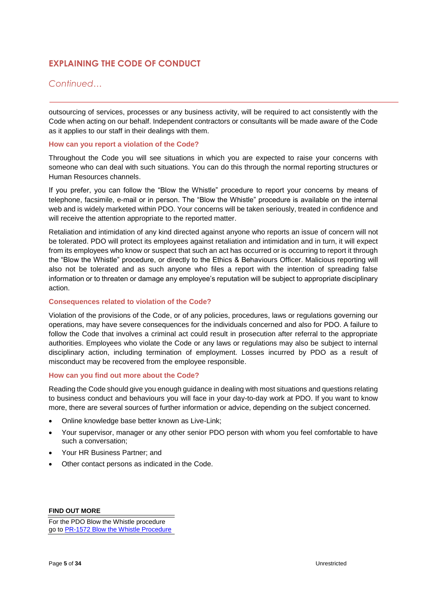# **EXPLAINING THE CODE OF CONDUCT**

### *Continued…*

outsourcing of services, processes or any business activity, will be required to act consistently with the Code when acting on our behalf. Independent contractors or consultants will be made aware of the Code as it applies to our staff in their dealings with them.

#### **How can you report a violation of the Code?**

Throughout the Code you will see situations in which you are expected to raise your concerns with someone who can deal with such situations. You can do this through the normal reporting structures or Human Resources channels.

If you prefer, you can follow the "Blow the Whistle" procedure to report your concerns by means of telephone, facsimile, e-mail or in person. The "Blow the Whistle" procedure is available on the internal web and is widely marketed within PDO. Your concerns will be taken seriously, treated in confidence and will receive the attention appropriate to the reported matter.

Retaliation and intimidation of any kind directed against anyone who reports an issue of concern will not be tolerated. PDO will protect its employees against retaliation and intimidation and in turn, it will expect from its employees who know or suspect that such an act has occurred or is occurring to report it through the "Blow the Whistle" procedure, or directly to the Ethics & Behaviours Officer. Malicious reporting will also not be tolerated and as such anyone who files a report with the intention of spreading false information or to threaten or damage any employee's reputation will be subject to appropriate disciplinary action.

#### **Consequences related to violation of the Code?**

Violation of the provisions of the Code, or of any policies, procedures, laws or regulations governing our operations, may have severe consequences for the individuals concerned and also for PDO. A failure to follow the Code that involves a criminal act could result in prosecution after referral to the appropriate authorities. Employees who violate the Code or any laws or regulations may also be subject to internal disciplinary action, including termination of employment. Losses incurred by PDO as a result of misconduct may be recovered from the employee responsible.

#### **How can you find out more about the Code?**

Reading the Code should give you enough guidance in dealing with most situations and questions relating to business conduct and behaviours you will face in your day-to-day work at PDO. If you want to know more, there are several sources of further information or advice, depending on the subject concerned.

- Online knowledge base better known as Live-Link;
- Your supervisor, manager or any other senior PDO person with whom you feel comfortable to have such a conversation;
- Your HR Business Partner; and
- Other contact persons as indicated in the Code.

**FIND OUT MORE**

For the PDO Blow the Whistle procedure go t[o PR-1572 Blow the Whistle Procedure](http://mus-ws-003/livelink/livelink.exe?func=ll&objAction=download&objId=6940900)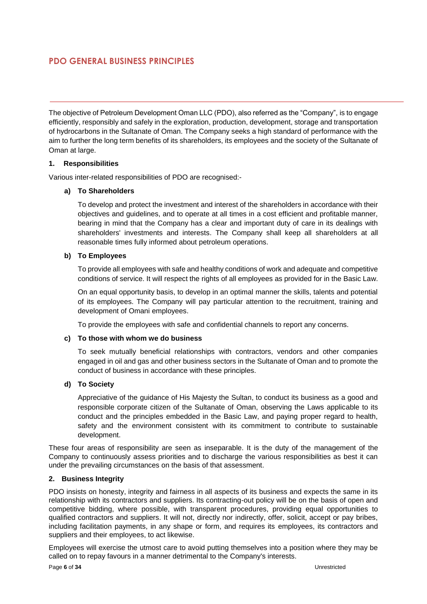# **PDO GENERAL BUSINESS PRINCIPLES**

The objective of Petroleum Development Oman LLC (PDO), also referred as the "Company", is to engage efficiently, responsibly and safely in the exploration, production, development, storage and transportation of hydrocarbons in the Sultanate of Oman. The Company seeks a high standard of performance with the aim to further the long term benefits of its shareholders, its employees and the society of the Sultanate of Oman at large.

#### **1. Responsibilities**

Various inter-related responsibilities of PDO are recognised:-

#### **a) To Shareholders**

To develop and protect the investment and interest of the shareholders in accordance with their objectives and guidelines, and to operate at all times in a cost efficient and profitable manner, bearing in mind that the Company has a clear and important duty of care in its dealings with shareholders' investments and interests. The Company shall keep all shareholders at all reasonable times fully informed about petroleum operations.

#### **b) To Employees**

To provide all employees with safe and healthy conditions of work and adequate and competitive conditions of service. It will respect the rights of all employees as provided for in the Basic Law.

On an equal opportunity basis, to develop in an optimal manner the skills, talents and potential of its employees. The Company will pay particular attention to the recruitment, training and development of Omani employees.

To provide the employees with safe and confidential channels to report any concerns.

#### **c) To those with whom we do business**

To seek mutually beneficial relationships with contractors, vendors and other companies engaged in oil and gas and other business sectors in the Sultanate of Oman and to promote the conduct of business in accordance with these principles.

#### **d) To Society**

Appreciative of the guidance of His Majesty the Sultan, to conduct its business as a good and responsible corporate citizen of the Sultanate of Oman, observing the Laws applicable to its conduct and the principles embedded in the Basic Law, and paying proper regard to health, safety and the environment consistent with its commitment to contribute to sustainable development.

These four areas of responsibility are seen as inseparable. It is the duty of the management of the Company to continuously assess priorities and to discharge the various responsibilities as best it can under the prevailing circumstances on the basis of that assessment.

#### **2. Business Integrity**

PDO insists on honesty, integrity and fairness in all aspects of its business and expects the same in its relationship with its contractors and suppliers. Its contracting-out policy will be on the basis of open and competitive bidding, where possible, with transparent procedures, providing equal opportunities to qualified contractors and suppliers. It will not, directly nor indirectly, offer, solicit, accept or pay bribes, including facilitation payments, in any shape or form, and requires its employees, its contractors and suppliers and their employees, to act likewise.

Employees will exercise the utmost care to avoid putting themselves into a position where they may be called on to repay favours in a manner detrimental to the Company's interests.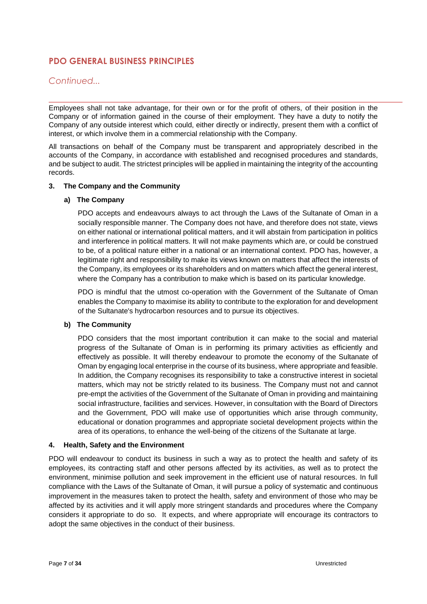# **PDO GENERAL BUSINESS PRINCIPLES**

### *Continued...*

Employees shall not take advantage, for their own or for the profit of others, of their position in the Company or of information gained in the course of their employment. They have a duty to notify the Company of any outside interest which could, either directly or indirectly, present them with a conflict of interest, or which involve them in a commercial relationship with the Company.

All transactions on behalf of the Company must be transparent and appropriately described in the accounts of the Company, in accordance with established and recognised procedures and standards, and be subject to audit. The strictest principles will be applied in maintaining the integrity of the accounting records.

#### **3. The Company and the Community**

#### **a) The Company**

PDO accepts and endeavours always to act through the Laws of the Sultanate of Oman in a socially responsible manner. The Company does not have, and therefore does not state, views on either national or international political matters, and it will abstain from participation in politics and interference in political matters. It will not make payments which are, or could be construed to be, of a political nature either in a national or an international context. PDO has, however, a legitimate right and responsibility to make its views known on matters that affect the interests of the Company, its employees or its shareholders and on matters which affect the general interest, where the Company has a contribution to make which is based on its particular knowledge.

PDO is mindful that the utmost co-operation with the Government of the Sultanate of Oman enables the Company to maximise its ability to contribute to the exploration for and development of the Sultanate's hydrocarbon resources and to pursue its objectives.

#### **b) The Community**

PDO considers that the most important contribution it can make to the social and material progress of the Sultanate of Oman is in performing its primary activities as efficiently and effectively as possible. It will thereby endeavour to promote the economy of the Sultanate of Oman by engaging local enterprise in the course of its business, where appropriate and feasible. In addition, the Company recognises its responsibility to take a constructive interest in societal matters, which may not be strictly related to its business. The Company must not and cannot pre-empt the activities of the Government of the Sultanate of Oman in providing and maintaining social infrastructure, facilities and services. However, in consultation with the Board of Directors and the Government, PDO will make use of opportunities which arise through community, educational or donation programmes and appropriate societal development projects within the area of its operations, to enhance the well-being of the citizens of the Sultanate at large.

#### **4. Health, Safety and the Environment**

PDO will endeavour to conduct its business in such a way as to protect the health and safety of its employees, its contracting staff and other persons affected by its activities, as well as to protect the environment, minimise pollution and seek improvement in the efficient use of natural resources. In full compliance with the Laws of the Sultanate of Oman, it will pursue a policy of systematic and continuous improvement in the measures taken to protect the health, safety and environment of those who may be affected by its activities and it will apply more stringent standards and procedures where the Company considers it appropriate to do so. It expects, and where appropriate will encourage its contractors to adopt the same objectives in the conduct of their business.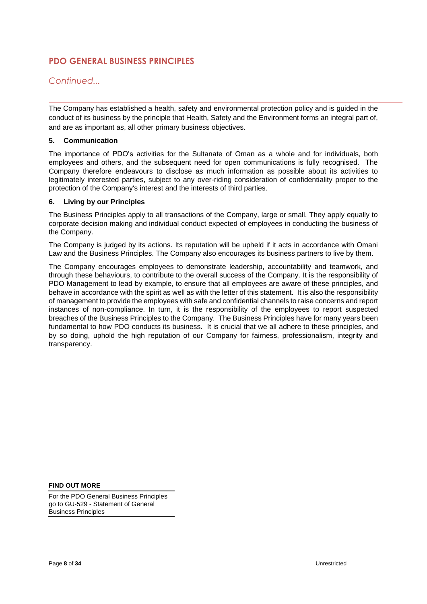# **PDO GENERAL BUSINESS PRINCIPLES**

*Continued...*

The Company has established a health, safety and environmental protection policy and is guided in the conduct of its business by the principle that Health, Safety and the Environment forms an integral part of, and are as important as, all other primary business objectives.

#### **5. Communication**

The importance of PDO's activities for the Sultanate of Oman as a whole and for individuals, both employees and others, and the subsequent need for open communications is fully recognised. The Company therefore endeavours to disclose as much information as possible about its activities to legitimately interested parties, subject to any over-riding consideration of confidentiality proper to the protection of the Company's interest and the interests of third parties.

#### **6. Living by our Principles**

The Business Principles apply to all transactions of the Company, large or small. They apply equally to corporate decision making and individual conduct expected of employees in conducting the business of the Company.

The Company is judged by its actions. Its reputation will be upheld if it acts in accordance with Omani Law and the Business Principles. The Company also encourages its business partners to live by them.

The Company encourages employees to demonstrate leadership, accountability and teamwork, and through these behaviours, to contribute to the overall success of the Company. It is the responsibility of PDO Management to lead by example, to ensure that all employees are aware of these principles, and behave in accordance with the spirit as well as with the letter of this statement. It is also the responsibility of management to provide the employees with safe and confidential channels to raise concerns and report instances of non-compliance. In turn, it is the responsibility of the employees to report suspected breaches of the Business Principles to the Company. The Business Principles have for many years been fundamental to how PDO conducts its business. It is crucial that we all adhere to these principles, and by so doing, uphold the high reputation of our Company for fairness, professionalism, integrity and transparency.

**FIND OUT MORE**

For the PDO General Business Principles go to GU-529 - Statement of General Business Principles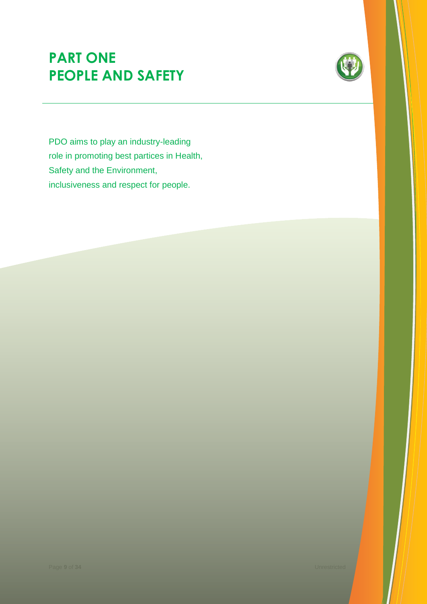# **PART ONE PEOPLE AND SAFETY**



PDO aims to play an industry-leading role in promoting best partices in Health, Safety and the Environment, inclusiveness and respect for people.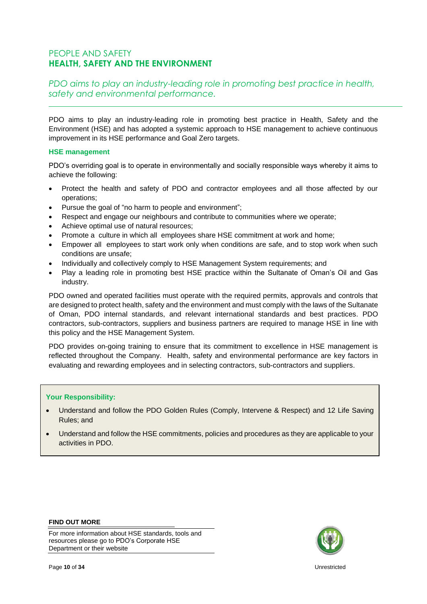# PEOPLE AND SAFETY **HEALTH, SAFETY AND THE ENVIRONMENT**

# *PDO aims to play an industry-leading role in promoting best practice in health, safety and environmental performance.*

PDO aims to play an industry-leading role in promoting best practice in Health, Safety and the Environment (HSE) and has adopted a systemic approach to HSE management to achieve continuous improvement in its HSE performance and Goal Zero targets.

#### **HSE management**

PDO's overriding goal is to operate in environmentally and socially responsible ways whereby it aims to achieve the following:

- Protect the health and safety of PDO and contractor employees and all those affected by our operations;
- Pursue the goal of "no harm to people and environment";
- Respect and engage our neighbours and contribute to communities where we operate;
- Achieve optimal use of natural resources;
- Promote a culture in which all employees share HSE commitment at work and home;
- Empower all employees to start work only when conditions are safe, and to stop work when such conditions are unsafe;
- Individually and collectively comply to HSE Management System requirements; and
- Play a leading role in promoting best HSE practice within the Sultanate of Oman's Oil and Gas industry.

PDO owned and operated facilities must operate with the required permits, approvals and controls that are designed to protect health, safety and the environment and must comply with the laws of the Sultanate of Oman, PDO internal standards, and relevant international standards and best practices. PDO contractors, sub-contractors, suppliers and business partners are required to manage HSE in line with this policy and the HSE Management System.

PDO provides on-going training to ensure that its commitment to excellence in HSE management is reflected throughout the Company. Health, safety and environmental performance are key factors in evaluating and rewarding employees and in selecting contractors, sub-contractors and suppliers.

### **Your Responsibility:**

- Understand and follow the PDO Golden Rules (Comply, Intervene & Respect) and 12 Life Saving Rules; and
- Understand and follow the HSE commitments, policies and procedures as they are applicable to your activities in PDO.



For more information about HSE standards, tools and resources please go to PDO's Corporate HSE Department or their website



Page **<sup>10</sup>** of **<sup>34</sup>** Unrestricted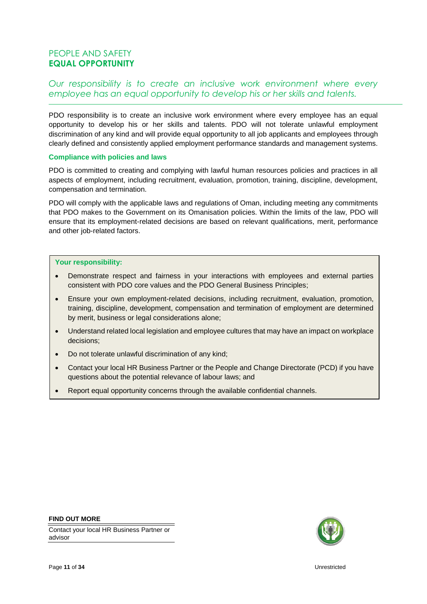# PEOPLE AND SAFETY **EQUAL OPPORTUNITY**

# *Our responsibility is to create an inclusive work environment where every employee has an equal opportunity to develop his or her skills and talents.*

PDO responsibility is to create an inclusive work environment where every employee has an equal opportunity to develop his or her skills and talents. PDO will not tolerate unlawful employment discrimination of any kind and will provide equal opportunity to all job applicants and employees through clearly defined and consistently applied employment performance standards and management systems.

#### **Compliance with policies and laws**

PDO is committed to creating and complying with lawful human resources policies and practices in all aspects of employment, including recruitment, evaluation, promotion, training, discipline, development, compensation and termination.

PDO will comply with the applicable laws and regulations of Oman, including meeting any commitments that PDO makes to the Government on its Omanisation policies. Within the limits of the law, PDO will ensure that its employment-related decisions are based on relevant qualifications, merit, performance and other job-related factors.

#### **Your responsibility:**

- Demonstrate respect and fairness in your interactions with employees and external parties consistent with PDO core values and the PDO General Business Principles;
- Ensure your own employment-related decisions, including recruitment, evaluation, promotion, training, discipline, development, compensation and termination of employment are determined by merit, business or legal considerations alone;
- Understand related local legislation and employee cultures that may have an impact on workplace decisions;
- Do not tolerate unlawful discrimination of any kind;
- Contact your local HR Business Partner or the People and Change Directorate (PCD) if you have questions about the potential relevance of labour laws; and
- Report equal opportunity concerns through the available confidential channels.

#### **FIND OUT MORE**

Contact your local HR Business Partner or advisor

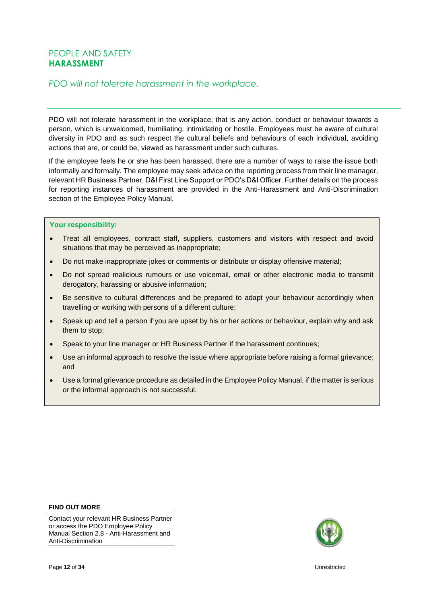# PEOPLE AND SAFETY **HARASSMENT**

# *PDO will not tolerate harassment in the workplace.*

PDO will not tolerate harassment in the workplace; that is any action, conduct or behaviour towards a person, which is unwelcomed, humiliating, intimidating or hostile. Employees must be aware of cultural diversity in PDO and as such respect the cultural beliefs and behaviours of each individual, avoiding actions that are, or could be, viewed as harassment under such cultures.

If the employee feels he or she has been harassed, there are a number of ways to raise the issue both informally and formally. The employee may seek advice on the reporting process from their line manager, relevant HR Business Partner, D&I First Line Support or PDO's D&I Officer. Further details on the process for reporting instances of harassment are provided in the Anti-Harassment and Anti-Discrimination section of the Employee Policy Manual.

#### **Your responsibility:**

- Treat all employees, contract staff, suppliers, customers and visitors with respect and avoid situations that may be perceived as inappropriate;
- Do not make inappropriate jokes or comments or distribute or display offensive material;
- Do not spread malicious rumours or use voicemail, email or other electronic media to transmit derogatory, harassing or abusive information;
- Be sensitive to cultural differences and be prepared to adapt your behaviour accordingly when travelling or working with persons of a different culture;
- Speak up and tell a person if you are upset by his or her actions or behaviour, explain why and ask them to stop;
- Speak to your line manager or HR Business Partner if the harassment continues;
- Use an informal approach to resolve the issue where appropriate before raising a formal grievance; and
- Use a formal grievance procedure as detailed in the Employee Policy Manual, if the matter is serious or the informal approach is not successful.

#### **FIND OUT MORE**

Contact your relevant HR Business Partner or access the PDO Employee Policy Manual Section 2.8 - Anti-Harassment and Anti-Discrimination

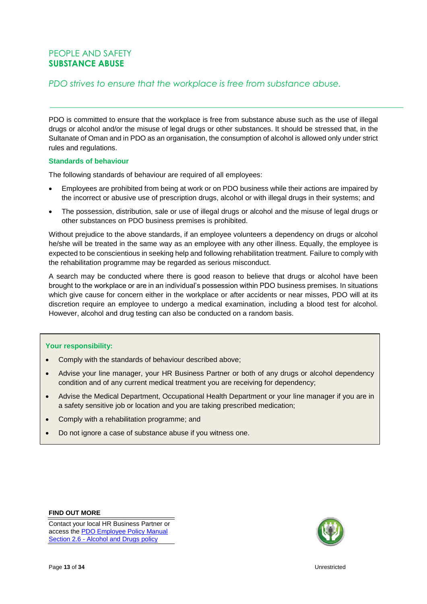# PEOPLE AND SAFETY **SUBSTANCE ABUSE**

# *PDO strives to ensure that the workplace is free from substance abuse.*

PDO is committed to ensure that the workplace is free from substance abuse such as the use of illegal drugs or alcohol and/or the misuse of legal drugs or other substances. It should be stressed that, in the Sultanate of Oman and in PDO as an organisation, the consumption of alcohol is allowed only under strict rules and regulations.

#### **Standards of behaviour**

The following standards of behaviour are required of all employees:

- Employees are prohibited from being at work or on PDO business while their actions are impaired by the incorrect or abusive use of prescription drugs, alcohol or with illegal drugs in their systems; and
- The possession, distribution, sale or use of illegal drugs or alcohol and the misuse of legal drugs or other substances on PDO business premises is prohibited.

Without prejudice to the above standards, if an employee volunteers a dependency on drugs or alcohol he/she will be treated in the same way as an employee with any other illness. Equally, the employee is expected to be conscientious in seeking help and following rehabilitation treatment. Failure to comply with the rehabilitation programme may be regarded as serious misconduct.

A search may be conducted where there is good reason to believe that drugs or alcohol have been brought to the workplace or are in an individual's possession within PDO business premises. In situations which give cause for concern either in the workplace or after accidents or near misses, PDO will at its discretion require an employee to undergo a medical examination, including a blood test for alcohol. However, alcohol and drug testing can also be conducted on a random basis.

#### **Your responsibility:**

- Comply with the standards of behaviour described above;
- Advise your line manager, your HR Business Partner or both of any drugs or alcohol dependency condition and of any current medical treatment you are receiving for dependency;
- Advise the Medical Department, Occupational Health Department or your line manager if you are in a safety sensitive job or location and you are taking prescribed medication;
- Comply with a rehabilitation programme; and
- Do not ignore a case of substance abuse if you witness one.

#### **FIND OUT MORE**

Contact your local HR Business Partner or access th[e PDO Employee Policy Manual](http://sww.pdo.shell.om/sites/hd/HRR/EPM/Lists/ALCOHOL%20AND%20DRUGS%20POLICY/AllItems.aspx)  Section 2.6 - [Alcohol and Drugs policy](http://sww.pdo.shell.om/sites/hd/HRR/EPM/Lists/ALCOHOL%20AND%20DRUGS%20POLICY/AllItems.aspx)

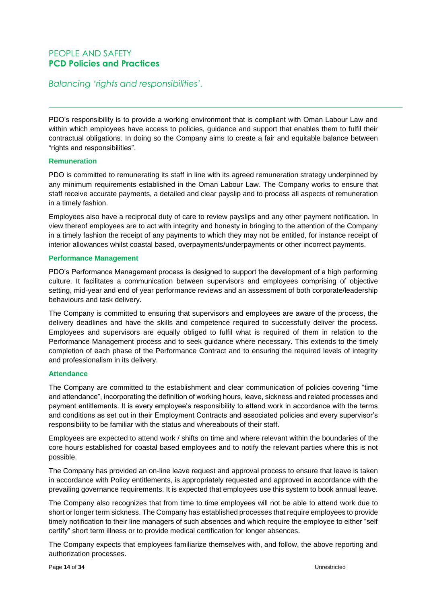# PEOPLE AND SAFETY **PCD Policies and Practices**

# *Balancing 'rights and responsibilities'.*

PDO's responsibility is to provide a working environment that is compliant with Oman Labour Law and within which employees have access to policies, guidance and support that enables them to fulfil their contractual obligations. In doing so the Company aims to create a fair and equitable balance between "rights and responsibilities".

#### **Remuneration**

PDO is committed to remunerating its staff in line with its agreed remuneration strategy underpinned by any minimum requirements established in the Oman Labour Law. The Company works to ensure that staff receive accurate payments, a detailed and clear payslip and to process all aspects of remuneration in a timely fashion.

Employees also have a reciprocal duty of care to review payslips and any other payment notification. In view thereof employees are to act with integrity and honesty in bringing to the attention of the Company in a timely fashion the receipt of any payments to which they may not be entitled, for instance receipt of interior allowances whilst coastal based, overpayments/underpayments or other incorrect payments.

#### **Performance Management**

PDO's Performance Management process is designed to support the development of a high performing culture. It facilitates a communication between supervisors and employees comprising of objective setting, mid-year and end of year performance reviews and an assessment of both corporate/leadership behaviours and task delivery.

The Company is committed to ensuring that supervisors and employees are aware of the process, the delivery deadlines and have the skills and competence required to successfully deliver the process. Employees and supervisors are equally obliged to fulfil what is required of them in relation to the Performance Management process and to seek guidance where necessary. This extends to the timely completion of each phase of the Performance Contract and to ensuring the required levels of integrity and professionalism in its delivery.

#### **Attendance**

The Company are committed to the establishment and clear communication of policies covering "time and attendance", incorporating the definition of working hours, leave, sickness and related processes and payment entitlements. It is every employee's responsibility to attend work in accordance with the terms and conditions as set out in their Employment Contracts and associated policies and every supervisor's responsibility to be familiar with the status and whereabouts of their staff.

Employees are expected to attend work / shifts on time and where relevant within the boundaries of the core hours established for coastal based employees and to notify the relevant parties where this is not possible.

The Company has provided an on-line leave request and approval process to ensure that leave is taken in accordance with Policy entitlements, is appropriately requested and approved in accordance with the prevailing governance requirements. It is expected that employees use this system to book annual leave.

The Company also recognizes that from time to time employees will not be able to attend work due to short or longer term sickness. The Company has established processes that require employees to provide timely notification to their line managers of such absences and which require the employee to either "self certify" short term illness or to provide medical certification for longer absences.

The Company expects that employees familiarize themselves with, and follow, the above reporting and authorization processes.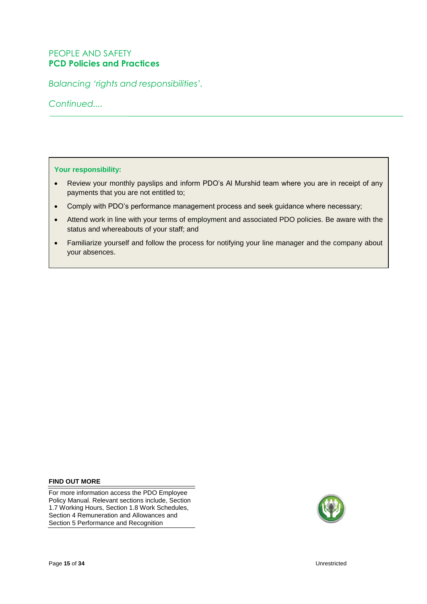# PEOPLE AND SAFETY **PCD Policies and Practices**

*Balancing 'rights and responsibilities'.*

*Continued....*

**Your responsibility:**

- Review your monthly payslips and inform PDO's Al Murshid team where you are in receipt of any payments that you are not entitled to;
- Comply with PDO's performance management process and seek guidance where necessary;
- Attend work in line with your terms of employment and associated PDO policies. Be aware with the status and whereabouts of your staff; and
- Familiarize yourself and follow the process for notifying your line manager and the company about your absences.

**FIND OUT MORE**

For more information access the PDO Employee Policy Manual. Relevant sections include, Section 1.7 Working Hours, Section 1.8 Work Schedules, Section 4 Remuneration and Allowances and Section 5 Performance and Recognition

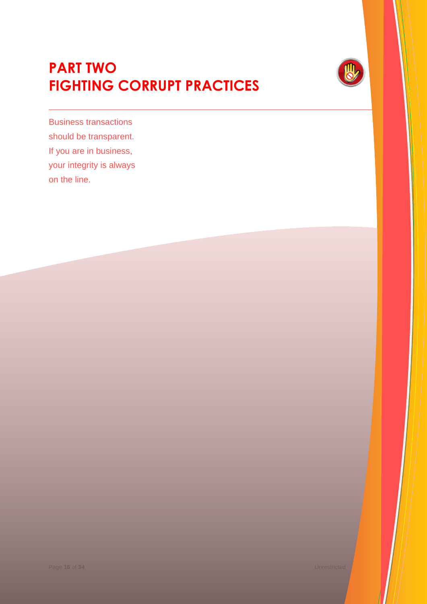# **PART TWO FIGHTING CORRUPT PRACTICES**



Business transactions should be transparent. If you are in business, your integrity is always on the line.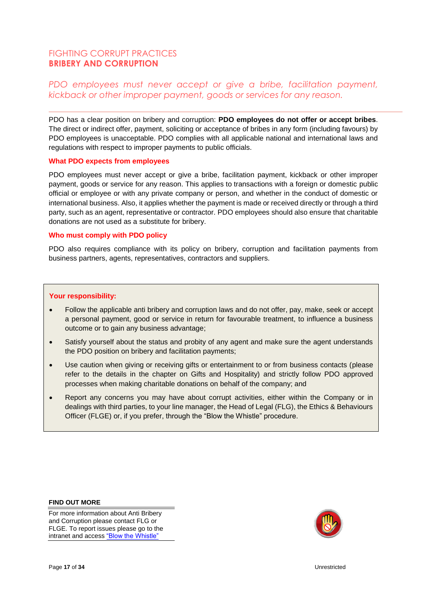# FIGHTING CORRUPT PRACTICES **BRIBERY AND CORRUPTION**

# *PDO employees must never accept or give a bribe, facilitation payment, kickback or other improper payment, goods or services for any reason.*

PDO has a clear position on bribery and corruption: **PDO employees do not offer or accept bribes**. The direct or indirect offer, payment, soliciting or acceptance of bribes in any form (including favours) by PDO employees is unacceptable. PDO complies with all applicable national and international laws and regulations with respect to improper payments to public officials.

#### **What PDO expects from employees**

PDO employees must never accept or give a bribe, facilitation payment, kickback or other improper payment, goods or service for any reason. This applies to transactions with a foreign or domestic public official or employee or with any private company or person, and whether in the conduct of domestic or international business. Also, it applies whether the payment is made or received directly or through a third party, such as an agent, representative or contractor. PDO employees should also ensure that charitable donations are not used as a substitute for bribery.

#### **Who must comply with PDO policy**

PDO also requires compliance with its policy on bribery, corruption and facilitation payments from business partners, agents, representatives, contractors and suppliers.

#### **Your responsibility:**

- Follow the applicable anti bribery and corruption laws and do not offer, pay, make, seek or accept a personal payment, good or service in return for favourable treatment, to influence a business outcome or to gain any business advantage;
- Satisfy yourself about the status and probity of any agent and make sure the agent understands the PDO position on bribery and facilitation payments;
- Use caution when giving or receiving gifts or entertainment to or from business contacts (please refer to the details in the chapter on Gifts and Hospitality) and strictly follow PDO approved processes when making charitable donations on behalf of the company; and
- Report any concerns you may have about corrupt activities, either within the Company or in dealings with third parties, to your line manager, the Head of Legal (FLG), the Ethics & Behaviours Officer (FLGE) or, if you prefer, through the "Blow the Whistle" procedure.

#### **FIND OUT MORE**

For more information about Anti Bribery and Corruption please contact FLG or FLGE. To report issues please go to the intranet and acces[s "Blow the Whistle"](http://sww.pdo.shell.om/sites/fd/FLG/Ethics%20and%20Behaviours/Blow%20the%20Whistle.aspx)

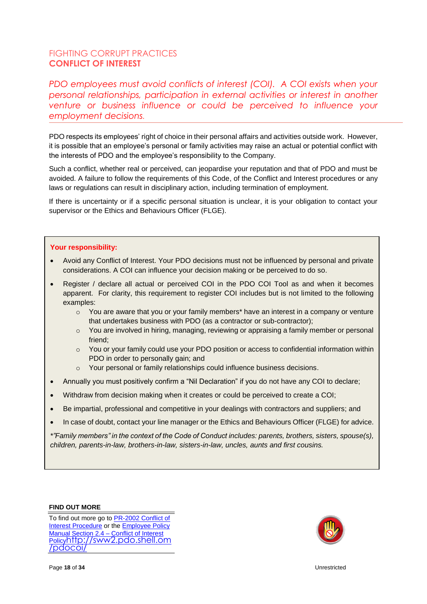# FIGHTING CORRUPT PRACTICES **CONFLICT OF INTEREST**

*PDO employees must avoid conflicts of interest (COI). A COI exists when your personal relationships, participation in external activities or interest in another venture or business influence or could be perceived to influence your employment decisions.*

PDO respects its employees' right of choice in their personal affairs and activities outside work. However, it is possible that an employee's personal or family activities may raise an actual or potential conflict with the interests of PDO and the employee's responsibility to the Company.

Such a conflict, whether real or perceived, can jeopardise your reputation and that of PDO and must be avoided. A failure to follow the requirements of this Code, of the Conflict and Interest procedures or any laws or regulations can result in disciplinary action, including termination of employment.

If there is uncertainty or if a specific personal situation is unclear, it is your obligation to contact your supervisor or the Ethics and Behaviours Officer (FLGE).

#### **Your responsibility:**

- Avoid any Conflict of Interest. Your PDO decisions must not be influenced by personal and private considerations. A COI can influence your decision making or be perceived to do so.
- Register / declare all actual or perceived COI in the PDO COI Tool as and when it becomes apparent. For clarity, this requirement to register COI includes but is not limited to the following examples:
	- $\circ$  You are aware that you or your family members\* have an interest in a company or venture that undertakes business with PDO (as a contractor or sub-contractor);
	- $\circ$  You are involved in hiring, managing, reviewing or appraising a family member or personal friend;
	- o You or your family could use your PDO position or access to confidential information within PDO in order to personally gain; and
	- o Your personal or family relationships could influence business decisions.
- Annually you must positively confirm a "Nil Declaration" if you do not have any COI to declare;
- Withdraw from decision making when it creates or could be perceived to create a COI;
- Be impartial, professional and competitive in your dealings with contractors and suppliers; and
- In case of doubt, contact your line manager or the Ethics and Behaviours Officer (FLGE) for advice.

*\*"Family members" in the context of the Code of Conduct includes: parents, brothers, sisters, spouse(s), children, parents-in-law, brothers-in-law, sisters-in-law, uncles, aunts and first cousins.*

#### **FIND OUT MORE**

To find out more go to [PR-2002 Conflict of](http://cms.portal.corp.pdo.om/Published/PR-2002.pdf)  [Interest Procedure](http://cms.portal.corp.pdo.om/Published/PR-2002.pdf) or the [Employee Policy](http://portal.corp.pdo.om/functional/PCD/EPM/Pages/PolicySubViewPageView.aspx?subview=2.4%20Conflict%20of%20Interest)  [Manual Section 2.4](http://portal.corp.pdo.om/functional/PCD/EPM/Pages/PolicySubViewPageView.aspx?subview=2.4%20Conflict%20of%20Interest) – Conflict of Interest [Policy](http://portal.corp.pdo.om/functional/PCD/EPM/Pages/PolicySubViewPageView.aspx?subview=2.4%20Conflict%20of%20Interest)[http://sww2.pdo.shell.om](http://sww2.pdo.shell.om/pdocoi/) [/pdocoi/](http://sww2.pdo.shell.om/pdocoi/)

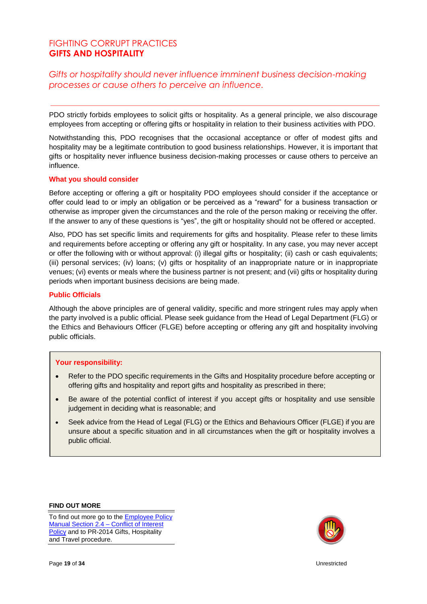# FIGHTING CORRUPT PRACTICES **GIFTS AND HOSPITALITY**

# *Gifts or hospitality should never influence imminent business decision-making processes or cause others to perceive an influence.*

PDO strictly forbids employees to solicit gifts or hospitality. As a general principle, we also discourage employees from accepting or offering gifts or hospitality in relation to their business activities with PDO.

Notwithstanding this, PDO recognises that the occasional acceptance or offer of modest gifts and hospitality may be a legitimate contribution to good business relationships. However, it is important that gifts or hospitality never influence business decision-making processes or cause others to perceive an influence.

#### **What you should consider**

Before accepting or offering a gift or hospitality PDO employees should consider if the acceptance or offer could lead to or imply an obligation or be perceived as a "reward" for a business transaction or otherwise as improper given the circumstances and the role of the person making or receiving the offer. If the answer to any of these questions is "yes", the gift or hospitality should not be offered or accepted.

Also, PDO has set specific limits and requirements for gifts and hospitality. Please refer to these limits and requirements before accepting or offering any gift or hospitality. In any case, you may never accept or offer the following with or without approval: (i) illegal gifts or hospitality; (ii) cash or cash equivalents; (iii) personal services; (iv) loans; (v) gifts or hospitality of an inappropriate nature or in inappropriate venues; (vi) events or meals where the business partner is not present; and (vii) gifts or hospitality during periods when important business decisions are being made.

#### **Public Officials**

Although the above principles are of general validity, specific and more stringent rules may apply when the party involved is a public official. Please seek guidance from the Head of Legal Department (FLG) or the Ethics and Behaviours Officer (FLGE) before accepting or offering any gift and hospitality involving public officials.

#### **Your responsibility:**

- Refer to the PDO specific requirements in the Gifts and Hospitality procedure before accepting or offering gifts and hospitality and report gifts and hospitality as prescribed in there;
- Be aware of the potential conflict of interest if you accept gifts or hospitality and use sensible judgement in deciding what is reasonable; and
- Seek advice from the Head of Legal (FLG) or the Ethics and Behaviours Officer (FLGE) if you are unsure about a specific situation and in all circumstances when the gift or hospitality involves a public official.

**FIND OUT MORE**

To find out more go to the [Employee Policy](http://portal.corp.pdo.om/functional/PCD/EPM/Pages/PolicySubViewPageView.aspx?subview=2.4%20Conflict%20of%20Interest)  [Manual Section 2.4 –](http://portal.corp.pdo.om/functional/PCD/EPM/Pages/PolicySubViewPageView.aspx?subview=2.4%20Conflict%20of%20Interest) Conflict of Interest [Policy](http://portal.corp.pdo.om/functional/PCD/EPM/Pages/PolicySubViewPageView.aspx?subview=2.4%20Conflict%20of%20Interest) and to PR-2014 Gifts, Hospitality and Travel procedure.

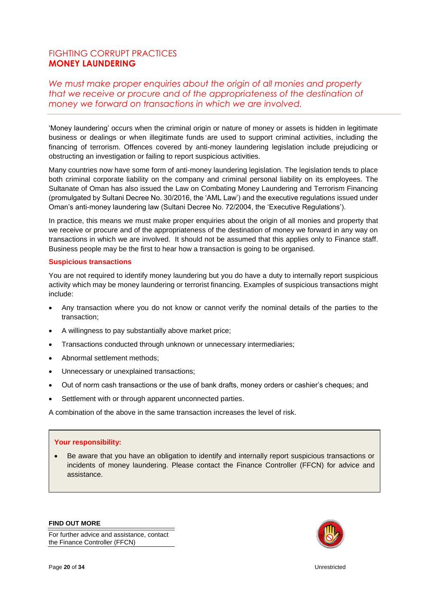# FIGHTING CORRUPT PRACTICES **MONEY LAUNDERING**

*We must make proper enquiries about the origin of all monies and property that we receive or procure and of the appropriateness of the destination of money we forward on transactions in which we are involved.*

'Money laundering' occurs when the criminal origin or nature of money or assets is hidden in legitimate business or dealings or when illegitimate funds are used to support criminal activities, including the financing of terrorism. Offences covered by anti-money laundering legislation include prejudicing or obstructing an investigation or failing to report suspicious activities.

Many countries now have some form of anti-money laundering legislation. The legislation tends to place both criminal corporate liability on the company and criminal personal liability on its employees. The Sultanate of Oman has also issued the Law on Combating Money Laundering and Terrorism Financing (promulgated by Sultani Decree No. 30/2016, the 'AML Law') and the executive regulations issued under Oman's anti-money laundering law (Sultani Decree No. 72/2004, the 'Executive Regulations').

In practice, this means we must make proper enquiries about the origin of all monies and property that we receive or procure and of the appropriateness of the destination of money we forward in any way on transactions in which we are involved. It should not be assumed that this applies only to Finance staff. Business people may be the first to hear how a transaction is going to be organised.

#### **Suspicious transactions**

You are not required to identify money laundering but you do have a duty to internally report suspicious activity which may be money laundering or terrorist financing. Examples of suspicious transactions might include:

- Any transaction where you do not know or cannot verify the nominal details of the parties to the transaction;
- A willingness to pay substantially above market price;
- Transactions conducted through unknown or unnecessary intermediaries;
- Abnormal settlement methods;
- Unnecessary or unexplained transactions;
- Out of norm cash transactions or the use of bank drafts, money orders or cashier's cheques; and
- Settlement with or through apparent unconnected parties.

A combination of the above in the same transaction increases the level of risk.

#### **Your responsibility:**

 Be aware that you have an obligation to identify and internally report suspicious transactions or incidents of money laundering. Please contact the Finance Controller (FFCN) for advice and assistance.

**FIND OUT MORE**

For further advice and assistance, contact the Finance Controller (FFCN)

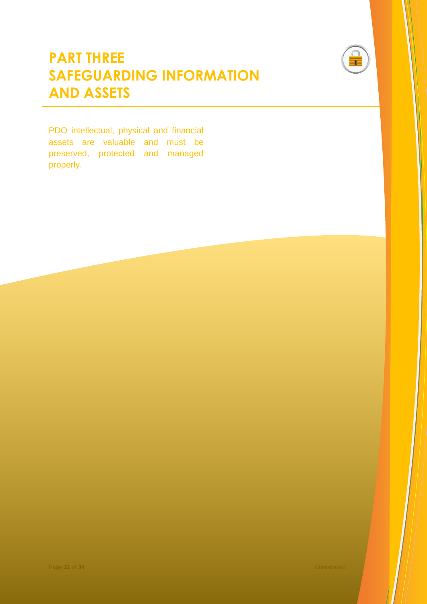

# **PART THREE SAFEGUARDING INFORMATION AND ASSETS**

PDO intellectual, physical and financial assets are valuable and must be preserved, protected and managed properly.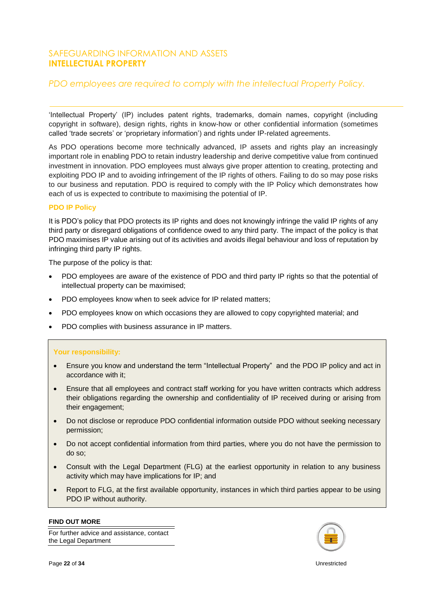# SAFEGUARDING INFORMATION AND ASSETS **INTELLECTUAL PROPERTY**

# *PDO employees are required to comply with the intellectual Property Policy.*

'Intellectual Property' (IP) includes patent rights, trademarks, domain names, copyright (including copyright in software), design rights, rights in know-how or other confidential information (sometimes called 'trade secrets' or 'proprietary information') and rights under IP-related agreements.

As PDO operations become more technically advanced. IP assets and rights play an increasingly important role in enabling PDO to retain industry leadership and derive competitive value from continued investment in innovation. PDO employees must always give proper attention to creating, protecting and exploiting PDO IP and to avoiding infringement of the IP rights of others. Failing to do so may pose risks to our business and reputation. PDO is required to comply with the IP Policy which demonstrates how each of us is expected to contribute to maximising the potential of IP.

#### **PDO IP Policy**

It is PDO's policy that PDO protects its IP rights and does not knowingly infringe the valid IP rights of any third party or disregard obligations of confidence owed to any third party. The impact of the policy is that PDO maximises IP value arising out of its activities and avoids illegal behaviour and loss of reputation by infringing third party IP rights.

The purpose of the policy is that:

- PDO employees are aware of the existence of PDO and third party IP rights so that the potential of intellectual property can be maximised;
- PDO employees know when to seek advice for IP related matters;
- PDO employees know on which occasions they are allowed to copy copyrighted material; and
- PDO complies with business assurance in IP matters.

#### **Your responsibility:**

- Ensure you know and understand the term "Intellectual Property" and the PDO IP policy and act in accordance with it;
- Ensure that all employees and contract staff working for you have written contracts which address their obligations regarding the ownership and confidentiality of IP received during or arising from their engagement;
- Do not disclose or reproduce PDO confidential information outside PDO without seeking necessary permission;
- Do not accept confidential information from third parties, where you do not have the permission to do so;
- Consult with the Legal Department (FLG) at the earliest opportunity in relation to any business activity which may have implications for IP; and
- Report to FLG, at the first available opportunity, instances in which third parties appear to be using PDO IP without authority.

#### **FIND OUT MORE**

For further advice and assistance, contact the Legal Department

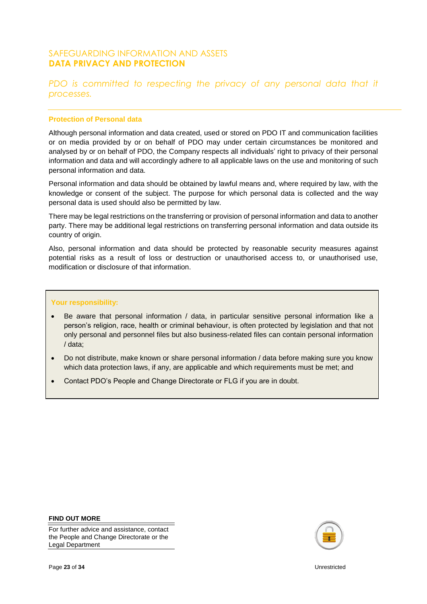# SAFEGUARDING INFORMATION AND ASSETS **DATA PRIVACY AND PROTECTION**

# *PDO is committed to respecting the privacy of any personal data that it processes.*

#### **Protection of Personal data**

Although personal information and data created, used or stored on PDO IT and communication facilities or on media provided by or on behalf of PDO may under certain circumstances be monitored and analysed by or on behalf of PDO, the Company respects all individuals' right to privacy of their personal information and data and will accordingly adhere to all applicable laws on the use and monitoring of such personal information and data.

Personal information and data should be obtained by lawful means and, where required by law, with the knowledge or consent of the subject. The purpose for which personal data is collected and the way personal data is used should also be permitted by law.

There may be legal restrictions on the transferring or provision of personal information and data to another party. There may be additional legal restrictions on transferring personal information and data outside its country of origin.

Also, personal information and data should be protected by reasonable security measures against potential risks as a result of loss or destruction or unauthorised access to, or unauthorised use, modification or disclosure of that information.

#### **Your responsibility:**

- Be aware that personal information / data, in particular sensitive personal information like a person's religion, race, health or criminal behaviour, is often protected by legislation and that not only personal and personnel files but also business-related files can contain personal information / data;
- Do not distribute, make known or share personal information / data before making sure you know which data protection laws, if any, are applicable and which requirements must be met; and
- Contact PDO's People and Change Directorate or FLG if you are in doubt.

#### **FIND OUT MORE**

For further advice and assistance, contact the People and Change Directorate or the Legal Department

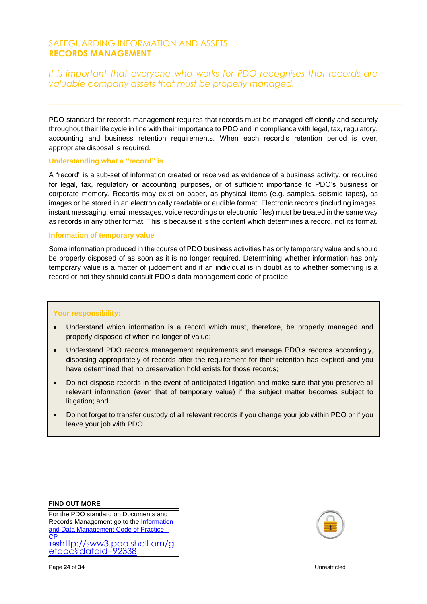# SAFEGUARDING INFORMATION AND ASSETS **RECORDS MANAGEMENT**

*It is important that everyone who works for PDO recognises that records are valuable company assets that must be properly managed.*

PDO standard for records management requires that records must be managed efficiently and securely throughout their life cycle in line with their importance to PDO and in compliance with legal, tax, regulatory, accounting and business retention requirements. When each record's retention period is over, appropriate disposal is required.

#### **Understanding what a "record" is**

A "record" is a sub-set of information created or received as evidence of a business activity, or required for legal, tax, regulatory or accounting purposes, or of sufficient importance to PDO's business or corporate memory. Records may exist on paper, as physical items (e.g. samples, seismic tapes), as images or be stored in an electronically readable or audible format. Electronic records (including images, instant messaging, email messages, voice recordings or electronic files) must be treated in the same way as records in any other format. This is because it is the content which determines a record, not its format.

#### **Information of temporary value**

Some information produced in the course of PDO business activities has only temporary value and should be properly disposed of as soon as it is no longer required. Determining whether information has only temporary value is a matter of judgement and if an individual is in doubt as to whether something is a record or not they should consult PDO's data management code of practice.

#### **Your responsibility:**

- Understand which information is a record which must, therefore, be properly managed and properly disposed of when no longer of value;
- Understand PDO records management requirements and manage PDO's records accordingly, disposing appropriately of records after the requirement for their retention has expired and you have determined that no preservation hold exists for those records;
- Do not dispose records in the event of anticipated litigation and make sure that you preserve all relevant information (even that of temporary value) if the subject matter becomes subject to litigation; and
- Do not forget to transfer custody of all relevant records if you change your job within PDO or if you leave your job with PDO.

**FIND OUT MORE**

For the PDO standard on Documents and Records Management go to th[e Information](http://cms.portal.corp.pdo.om/Published/CP-199.pdf)  [and Data Management Code of Practice –](http://cms.portal.corp.pdo.om/Published/CP-199.pdf) CP [199](http://cms.portal.corp.pdo.om/Published/CP-199.pdf)[http://sww3.pdo.shell.om/g](http://sww3.pdo.shell.om/getdoc?dataid=92338) [etdoc?dataid=92338](http://sww3.pdo.shell.om/getdoc?dataid=92338)

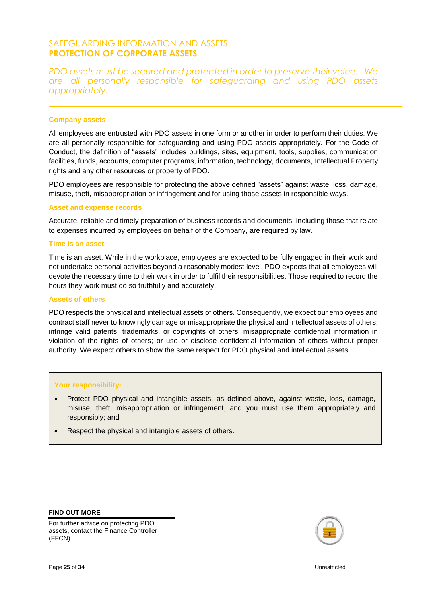# SAFEGUARDING INFORMATION AND ASSETS **PROTECTION OF CORPORATE ASSETS**

*PDO assets must be secured and protected in order to preserve their value. We are all personally responsible for safeguarding and using PDO assets appropriately.*

#### **Company assets**

All employees are entrusted with PDO assets in one form or another in order to perform their duties. We are all personally responsible for safeguarding and using PDO assets appropriately. For the Code of Conduct, the definition of "assets" includes buildings, sites, equipment, tools, supplies, communication facilities, funds, accounts, computer programs, information, technology, documents, Intellectual Property rights and any other resources or property of PDO.

PDO employees are responsible for protecting the above defined "assets" against waste, loss, damage, misuse, theft, misappropriation or infringement and for using those assets in responsible ways.

#### **Asset and expense records**

Accurate, reliable and timely preparation of business records and documents, including those that relate to expenses incurred by employees on behalf of the Company, are required by law.

#### **Time is an asset**

Time is an asset. While in the workplace, employees are expected to be fully engaged in their work and not undertake personal activities beyond a reasonably modest level. PDO expects that all employees will devote the necessary time to their work in order to fulfil their responsibilities. Those required to record the hours they work must do so truthfully and accurately.

#### **Assets of others**

PDO respects the physical and intellectual assets of others. Consequently, we expect our employees and contract staff never to knowingly damage or misappropriate the physical and intellectual assets of others; infringe valid patents, trademarks, or copyrights of others; misappropriate confidential information in violation of the rights of others; or use or disclose confidential information of others without proper authority. We expect others to show the same respect for PDO physical and intellectual assets.

#### **Your responsibility:**

- Protect PDO physical and intangible assets, as defined above, against waste, loss, damage, misuse, theft, misappropriation or infringement, and you must use them appropriately and responsibly; and
- Respect the physical and intangible assets of others.

#### **FIND OUT MORE**

For further advice on protecting PDO assets, contact the Finance Controller (FFCN)

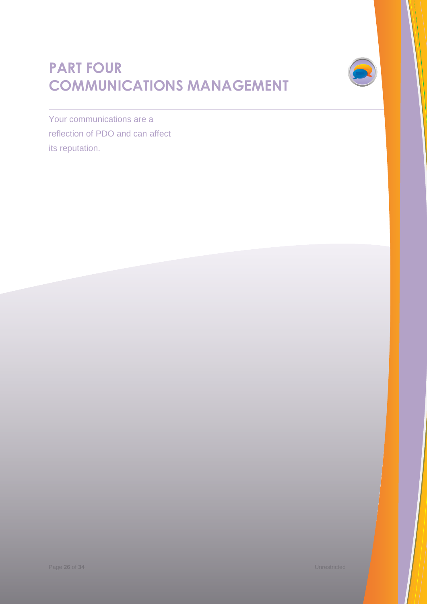# **PART FOUR COMMUNICATIONS MANAGEMENT**



Your communications are a reflection of PDO and can affect its reputation.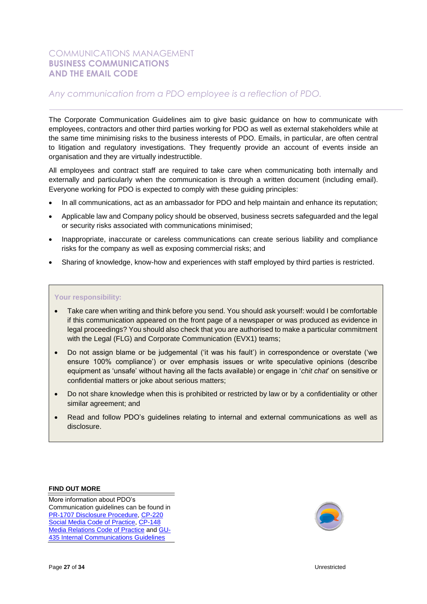# COMMUNICATIONS MANAGEMENT **BUSINESS COMMUNICATIONS AND THE EMAIL CODE**

# *Any communication from a PDO employee is a reflection of PDO.*

The Corporate Communication Guidelines aim to give basic guidance on how to communicate with employees, contractors and other third parties working for PDO as well as external stakeholders while at the same time minimising risks to the business interests of PDO. Emails, in particular, are often central to litigation and regulatory investigations. They frequently provide an account of events inside an organisation and they are virtually indestructible.

All employees and contract staff are required to take care when communicating both internally and externally and particularly when the communication is through a written document (including email). Everyone working for PDO is expected to comply with these guiding principles:

- In all communications, act as an ambassador for PDO and help maintain and enhance its reputation;
- Applicable law and Company policy should be observed, business secrets safeguarded and the legal or security risks associated with communications minimised;
- Inappropriate, inaccurate or careless communications can create serious liability and compliance risks for the company as well as exposing commercial risks; and
- Sharing of knowledge, know-how and experiences with staff employed by third parties is restricted.

#### **Your responsibility:**

- Take care when writing and think before you send. You should ask yourself: would I be comfortable if this communication appeared on the front page of a newspaper or was produced as evidence in legal proceedings? You should also check that you are authorised to make a particular commitment with the Legal (FLG) and Corporate Communication (EVX1) teams;
- Do not assign blame or be judgemental ('it was his fault') in correspondence or overstate ('we ensure 100% compliance') or over emphasis issues or write speculative opinions (describe equipment as 'unsafe' without having all the facts available) or engage in '*chit chat*' on sensitive or confidential matters or joke about serious matters;
- Do not share knowledge when this is prohibited or restricted by law or by a confidentiality or other similar agreement; and
- Read and follow PDO's guidelines relating to internal and external communications as well as disclosure.

#### **FIND OUT MORE**

More information about PDO's Communication guidelines can be found in [PR-1707 Disclosure Procedure,](http://cms.portal.corp.pdo.om/Published/PR-1707.pdf) [CP-220](http://cms.portal.corp.pdo.om/Published/CP-220.pdf)  [Social Media Code of Practice,](http://cms.portal.corp.pdo.om/Published/CP-220.pdf) [CP-148](http://cms.portal.corp.pdo.om/Published/CP-148.pdf)  [Media Relations Code of Practice](http://cms.portal.corp.pdo.om/Published/CP-148.pdf) an[d GU-](http://cms.portal.corp.pdo.om/Published/GU-435.pdf)[435 Internal Communications](http://cms.portal.corp.pdo.om/Published/GU-435.pdf) Guidelines

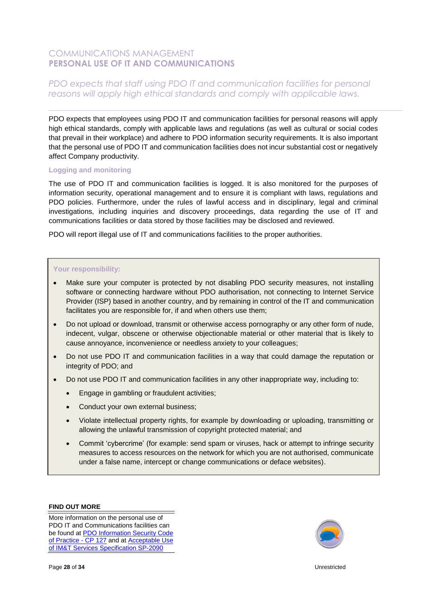# COMMUNICATIONS MANAGEMENT **PERSONAL USE OF IT AND COMMUNICATIONS**

# *PDO expects that staff using PDO IT and communication facilities for personal reasons will apply high ethical standards and comply with applicable laws.*

PDO expects that employees using PDO IT and communication facilities for personal reasons will apply high ethical standards, comply with applicable laws and regulations (as well as cultural or social codes that prevail in their workplace) and adhere to PDO information security requirements. It is also important that the personal use of PDO IT and communication facilities does not incur substantial cost or negatively affect Company productivity.

#### **Logging and monitoring**

The use of PDO IT and communication facilities is logged. It is also monitored for the purposes of information security, operational management and to ensure it is compliant with laws, regulations and PDO policies. Furthermore, under the rules of lawful access and in disciplinary, legal and criminal investigations, including inquiries and discovery proceedings, data regarding the use of IT and communications facilities or data stored by those facilities may be disclosed and reviewed.

PDO will report illegal use of IT and communications facilities to the proper authorities.

#### **Your responsibility:**

- Make sure your computer is protected by not disabling PDO security measures, not installing software or connecting hardware without PDO authorisation, not connecting to Internet Service Provider (ISP) based in another country, and by remaining in control of the IT and communication facilitates you are responsible for, if and when others use them;
- Do not upload or download, transmit or otherwise access pornography or any other form of nude, indecent, vulgar, obscene or otherwise objectionable material or other material that is likely to cause annoyance, inconvenience or needless anxiety to your colleagues;
- Do not use PDO IT and communication facilities in a way that could damage the reputation or integrity of PDO; and
- Do not use PDO IT and communication facilities in any other inappropriate way, including to:
	- Engage in gambling or fraudulent activities;
	- Conduct your own external business;
	- Violate intellectual property rights, for example by downloading or uploading, transmitting or allowing the unlawful transmission of copyright protected material; and
	- Commit 'cybercrime' (for example: send spam or viruses, hack or attempt to infringe security measures to access resources on the network for which you are not authorised, communicate under a false name, intercept or change communications or deface websites).

#### **FIND OUT MORE**

More information on the personal use of PDO IT and Communications facilities can be found a[t PDO Information Security Code](http://cms.portal.corp.pdo.om/Published/CP-127.pdf)  [of Practice -](http://cms.portal.corp.pdo.om/Published/CP-127.pdf) CP 127 and at Acceptable Use [of IM&T Services Specification SP-2090](http://cms.portal.corp.pdo.om/Published/SP-2090.pdf)

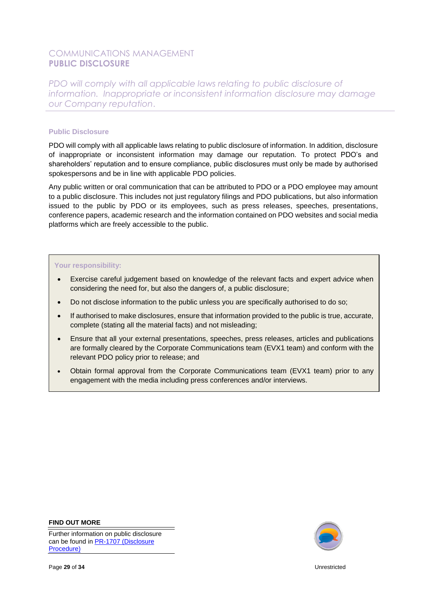# COMMUNICATIONS MANAGEMENT **PUBLIC DISCLOSURE**

*PDO will comply with all applicable laws relating to public disclosure of information. Inappropriate or inconsistent information disclosure may damage our Company reputation*.

#### **Public Disclosure**

PDO will comply with all applicable laws relating to public disclosure of information. In addition, disclosure of inappropriate or inconsistent information may damage our reputation. To protect PDO's and shareholders' reputation and to ensure compliance, public disclosures must only be made by authorised spokespersons and be in line with applicable PDO policies.

Any public written or oral communication that can be attributed to PDO or a PDO employee may amount to a public disclosure. This includes not just regulatory filings and PDO publications, but also information issued to the public by PDO or its employees, such as press releases, speeches, presentations, conference papers, academic research and the information contained on PDO websites and social media platforms which are freely accessible to the public.

#### **Your responsibility:**

- Exercise careful judgement based on knowledge of the relevant facts and expert advice when considering the need for, but also the dangers of, a public disclosure;
- Do not disclose information to the public unless you are specifically authorised to do so;
- If authorised to make disclosures, ensure that information provided to the public is true, accurate, complete (stating all the material facts) and not misleading;
- Ensure that all your external presentations, speeches, press releases, articles and publications are formally cleared by the Corporate Communications team (EVX1 team) and conform with the relevant PDO policy prior to release; and
- Obtain formal approval from the Corporate Communications team (EVX1 team) prior to any engagement with the media including press conferences and/or interviews.

**FIND OUT MORE**

Further information on public disclosure can be found in PR-1707 [\(Disclosure](http://cms.portal.corp.pdo.om/Published/PR-1707.pdf)  [Procedure\)](http://cms.portal.corp.pdo.om/Published/PR-1707.pdf)

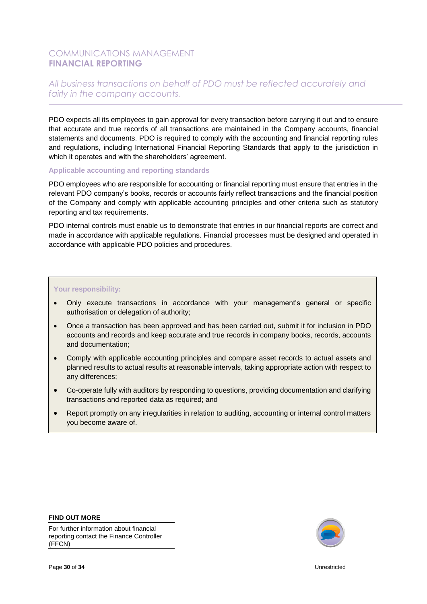# COMMUNICATIONS MANAGEMENT **FINANCIAL REPORTING**

# *All business transactions on behalf of PDO must be reflected accurately and fairly in the company accounts.*

PDO expects all its employees to gain approval for every transaction before carrying it out and to ensure that accurate and true records of all transactions are maintained in the Company accounts, financial statements and documents. PDO is required to comply with the accounting and financial reporting rules and regulations, including International Financial Reporting Standards that apply to the jurisdiction in which it operates and with the shareholders' agreement.

#### **Applicable accounting and reporting standards**

PDO employees who are responsible for accounting or financial reporting must ensure that entries in the relevant PDO company's books, records or accounts fairly reflect transactions and the financial position of the Company and comply with applicable accounting principles and other criteria such as statutory reporting and tax requirements.

PDO internal controls must enable us to demonstrate that entries in our financial reports are correct and made in accordance with applicable regulations. Financial processes must be designed and operated in accordance with applicable PDO policies and procedures.

#### **Your responsibility:**

- Only execute transactions in accordance with your management's general or specific authorisation or delegation of authority;
- Once a transaction has been approved and has been carried out, submit it for inclusion in PDO accounts and records and keep accurate and true records in company books, records, accounts and documentation;
- Comply with applicable accounting principles and compare asset records to actual assets and planned results to actual results at reasonable intervals, taking appropriate action with respect to any differences;
- Co-operate fully with auditors by responding to questions, providing documentation and clarifying transactions and reported data as required; and
- Report promptly on any irregularities in relation to auditing, accounting or internal control matters you become aware of.

#### **FIND OUT MORE**

For further information about financial reporting contact the Finance Controller (FFCN)

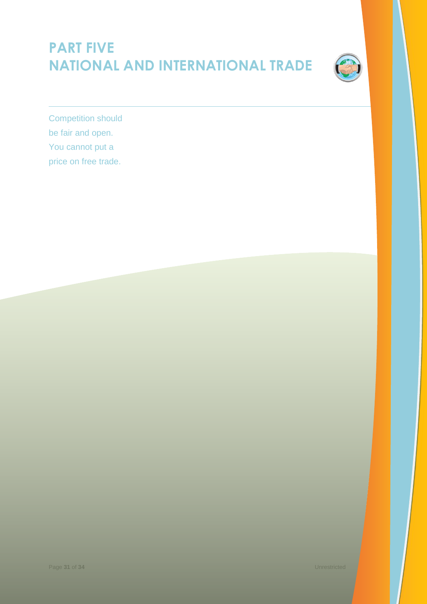# **PART FIVE NATIONAL AND INTERNATIONAL TRADE**



Competition should be fair and open. You cannot put a price on free trade.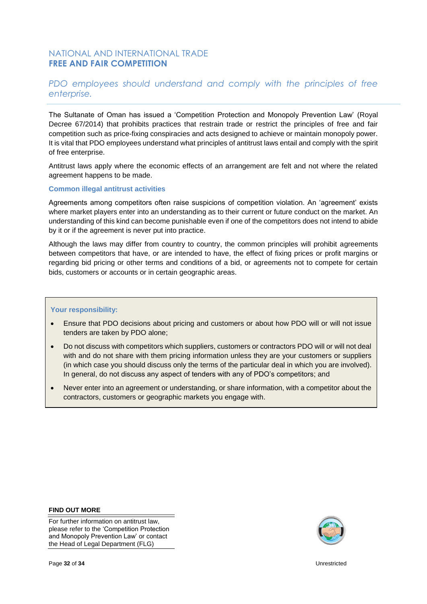# NATIONAL AND INTERNATIONAL TRADE **FREE AND FAIR COMPETITION**

# *PDO employees should understand and comply with the principles of free enterprise.*

The Sultanate of Oman has issued a 'Competition Protection and Monopoly Prevention Law' (Royal Decree 67/2014) that prohibits practices that restrain trade or restrict the principles of free and fair competition such as price-fixing conspiracies and acts designed to achieve or maintain monopoly power. It is vital that PDO employees understand what principles of antitrust laws entail and comply with the spirit of free enterprise.

Antitrust laws apply where the economic effects of an arrangement are felt and not where the related agreement happens to be made.

#### **Common illegal antitrust activities**

Agreements among competitors often raise suspicions of competition violation. An 'agreement' exists where market players enter into an understanding as to their current or future conduct on the market. An understanding of this kind can become punishable even if one of the competitors does not intend to abide by it or if the agreement is never put into practice.

Although the laws may differ from country to country, the common principles will prohibit agreements between competitors that have, or are intended to have, the effect of fixing prices or profit margins or regarding bid pricing or other terms and conditions of a bid, or agreements not to compete for certain bids, customers or accounts or in certain geographic areas.

#### **Your responsibility:**

- Ensure that PDO decisions about pricing and customers or about how PDO will or will not issue tenders are taken by PDO alone;
- Do not discuss with competitors which suppliers, customers or contractors PDO will or will not deal with and do not share with them pricing information unless they are your customers or suppliers (in which case you should discuss only the terms of the particular deal in which you are involved). In general, do not discuss any aspect of tenders with any of PDO's competitors; and
- Never enter into an agreement or understanding, or share information, with a competitor about the contractors, customers or geographic markets you engage with.

#### **FIND OUT MORE**

For further information on antitrust law, please refer to the 'Competition Protection and Monopoly Prevention Law' or contact the Head of Legal Department (FLG)

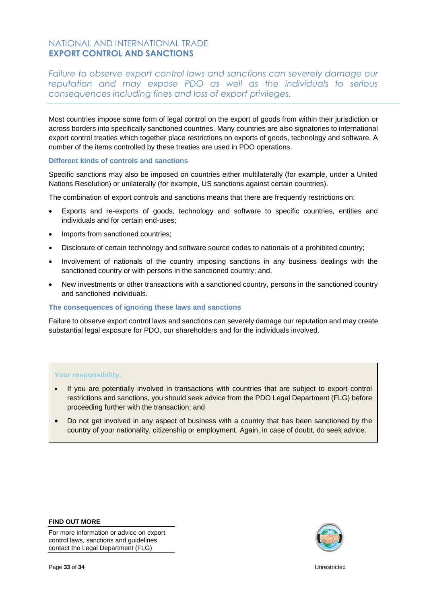# NATIONAL AND INTERNATIONAL TRADE **EXPORT CONTROL AND SANCTIONS**

*Failure to observe export control laws and sanctions can severely damage our reputation and may expose PDO as well as the individuals to serious consequences including fines and loss of export privileges.*

Most countries impose some form of legal control on the export of goods from within their jurisdiction or across borders into specifically sanctioned countries. Many countries are also signatories to international export control treaties which together place restrictions on exports of goods, technology and software. A number of the items controlled by these treaties are used in PDO operations.

#### **Different kinds of controls and sanctions**

Specific sanctions may also be imposed on countries either multilaterally (for example, under a United Nations Resolution) or unilaterally (for example, US sanctions against certain countries).

The combination of export controls and sanctions means that there are frequently restrictions on:

- Exports and re-exports of goods, technology and software to specific countries, entities and individuals and for certain end-uses;
- Imports from sanctioned countries;
- Disclosure of certain technology and software source codes to nationals of a prohibited country;
- Involvement of nationals of the country imposing sanctions in any business dealings with the sanctioned country or with persons in the sanctioned country; and,
- New investments or other transactions with a sanctioned country, persons in the sanctioned country and sanctioned individuals.

#### **The consequences of ignoring these laws and sanctions**

Failure to observe export control laws and sanctions can severely damage our reputation and may create substantial legal exposure for PDO, our shareholders and for the individuals involved.

#### **Your responsibility:**

- If you are potentially involved in transactions with countries that are subject to export control restrictions and sanctions, you should seek advice from the PDO Legal Department (FLG) before proceeding further with the transaction; and
- Do not get involved in any aspect of business with a country that has been sanctioned by the country of your nationality, citizenship or employment. Again, in case of doubt, do seek advice.

**FIND OUT MORE**

For more information or advice on export control laws, sanctions and guidelines contact the Legal Department (FLG)